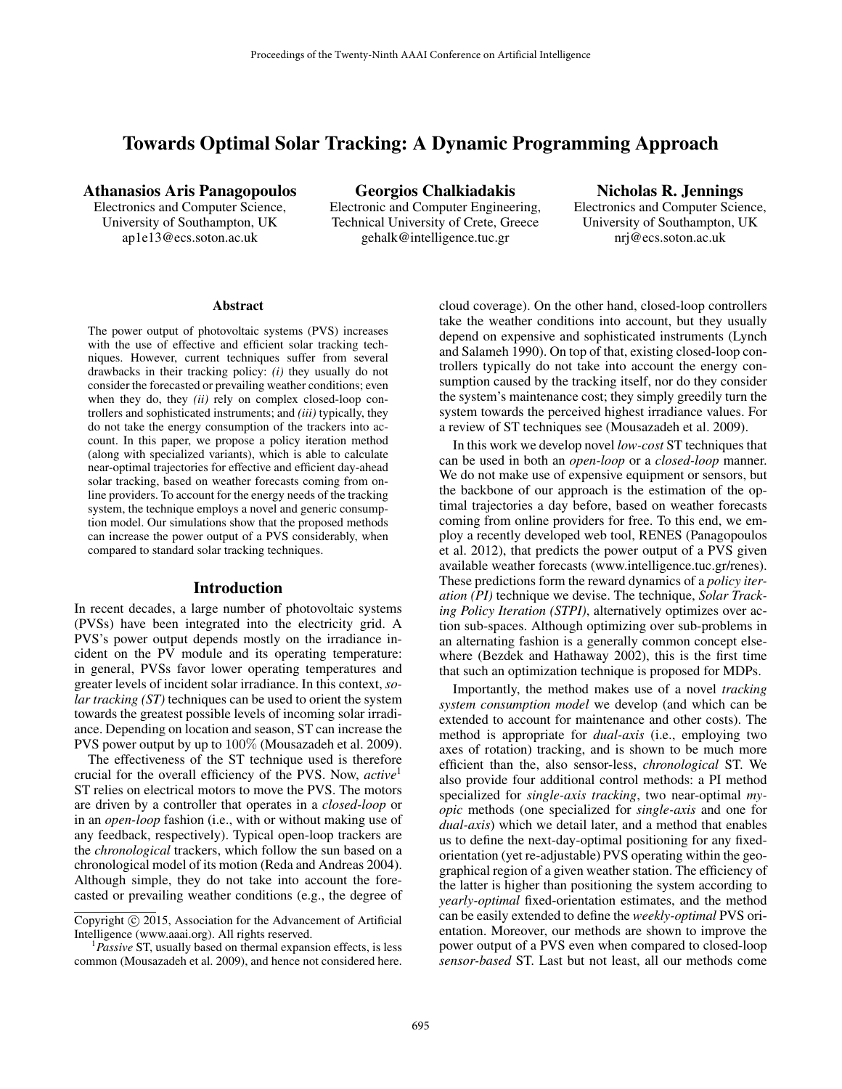# Towards Optimal Solar Tracking: A Dynamic Programming Approach

Electronic and Computer Engineering, University of Southampton, UK Technical University of Crete, Greece University of Southampton, UK ap1e13@ecs.soton.ac.uk gehalk@intelligence.tuc.gr nrj@ecs.soton.ac.uk

Athanasios Aris Panagopoulos Georgios Chalkiadakis Nicholas R. Jennings<br>Electronics and Computer Science, Electronic and Computer Engineering, Electronics and Computer Science,

#### **Abstract**

The power output of photovoltaic systems (PVS) increases with the use of effective and efficient solar tracking techniques. However, current techniques suffer from several drawbacks in their tracking policy: *(i)* they usually do not consider the forecasted or prevailing weather conditions; even when they do, they *(ii)* rely on complex closed-loop controllers and sophisticated instruments; and *(iii)* typically, they do not take the energy consumption of the trackers into account. In this paper, we propose a policy iteration method (along with specialized variants), which is able to calculate near-optimal trajectories for effective and efficient day-ahead solar tracking, based on weather forecasts coming from online providers. To account for the energy needs of the tracking system, the technique employs a novel and generic consumption model. Our simulations show that the proposed methods can increase the power output of a PVS considerably, when compared to standard solar tracking techniques.

### Introduction

In recent decades, a large number of photovoltaic systems (PVSs) have been integrated into the electricity grid. A PVS's power output depends mostly on the irradiance incident on the PV module and its operating temperature: in general, PVSs favor lower operating temperatures and greater levels of incident solar irradiance. In this context, *solar tracking (ST)* techniques can be used to orient the system towards the greatest possible levels of incoming solar irradiance. Depending on location and season, ST can increase the PVS power output by up to 100% (Mousazadeh et al. 2009).

The effectiveness of the ST technique used is therefore crucial for the overall efficiency of the PVS. Now, *active*<sup>1</sup> ST relies on electrical motors to move the PVS. The motors are driven by a controller that operates in a *closed-loop* or in an *open-loop* fashion (i.e., with or without making use of any feedback, respectively). Typical open-loop trackers are the *chronological* trackers, which follow the sun based on a chronological model of its motion (Reda and Andreas 2004). Although simple, they do not take into account the forecasted or prevailing weather conditions (e.g., the degree of

cloud coverage). On the other hand, closed-loop controllers take the weather conditions into account, but they usually depend on expensive and sophisticated instruments (Lynch and Salameh 1990). On top of that, existing closed-loop controllers typically do not take into account the energy consumption caused by the tracking itself, nor do they consider the system's maintenance cost; they simply greedily turn the system towards the perceived highest irradiance values. For a review of ST techniques see (Mousazadeh et al. 2009).

In this work we develop novel *low-cost* ST techniques that can be used in both an *open-loop* or a *closed-loop* manner. We do not make use of expensive equipment or sensors, but the backbone of our approach is the estimation of the optimal trajectories a day before, based on weather forecasts coming from online providers for free. To this end, we employ a recently developed web tool, RENES (Panagopoulos et al. 2012), that predicts the power output of a PVS given available weather forecasts (www.intelligence.tuc.gr/renes). These predictions form the reward dynamics of a *policy iteration (PI)* technique we devise. The technique, *Solar Tracking Policy Iteration (STPI)*, alternatively optimizes over action sub-spaces. Although optimizing over sub-problems in an alternating fashion is a generally common concept elsewhere (Bezdek and Hathaway 2002), this is the first time that such an optimization technique is proposed for MDPs.

Importantly, the method makes use of a novel *tracking system consumption model* we develop (and which can be extended to account for maintenance and other costs). The method is appropriate for *dual-axis* (i.e., employing two axes of rotation) tracking, and is shown to be much more efficient than the, also sensor-less, *chronological* ST. We also provide four additional control methods: a PI method specialized for *single-axis tracking*, two near-optimal *myopic* methods (one specialized for *single-axis* and one for *dual-axis*) which we detail later, and a method that enables us to define the next-day-optimal positioning for any fixedorientation (yet re-adjustable) PVS operating within the geographical region of a given weather station. The efficiency of the latter is higher than positioning the system according to *yearly-optimal* fixed-orientation estimates, and the method can be easily extended to define the *weekly-optimal* PVS orientation. Moreover, our methods are shown to improve the power output of a PVS even when compared to closed-loop *sensor-based* ST. Last but not least, all our methods come

Copyright (c) 2015, Association for the Advancement of Artificial Intelligence (www.aaai.org). All rights reserved.

<sup>&</sup>lt;sup>1</sup>Passive ST, usually based on thermal expansion effects, is less common (Mousazadeh et al. 2009), and hence not considered here.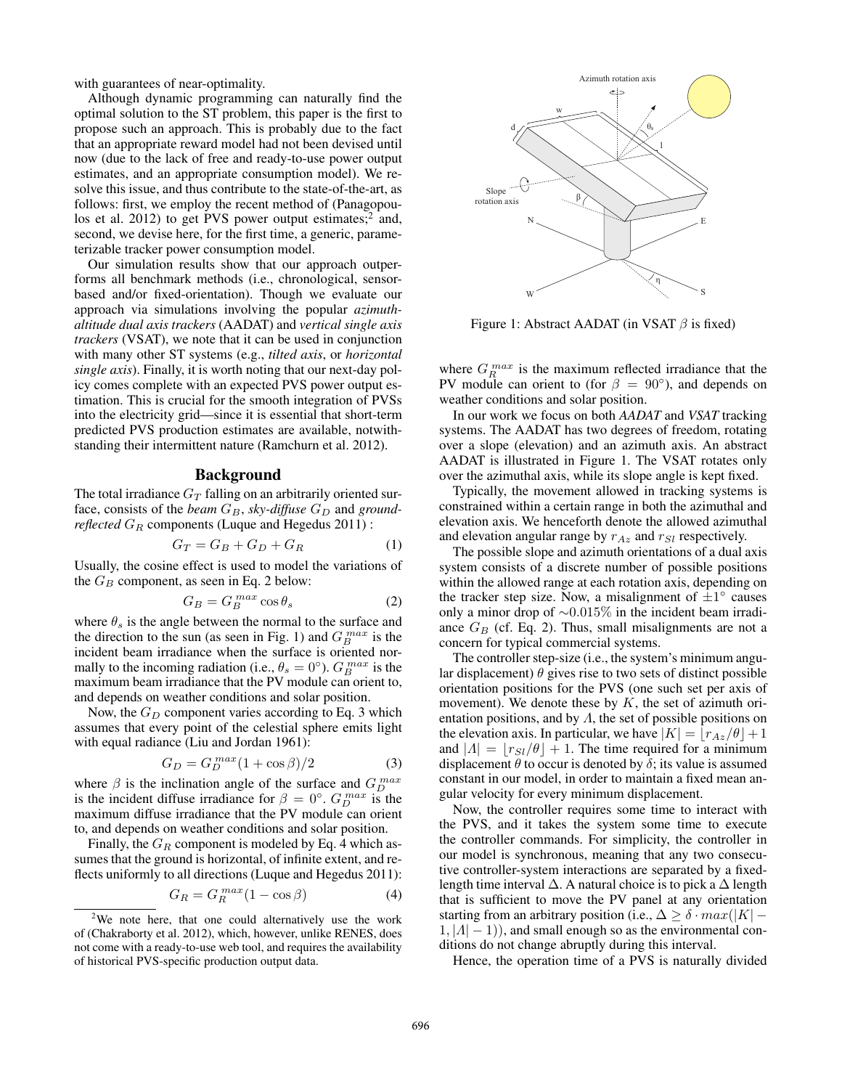with guarantees of near-optimality.

Although dynamic programming can naturally find the optimal solution to the ST problem, this paper is the first to propose such an approach. This is probably due to the fact that an appropriate reward model had not been devised until now (due to the lack of free and ready-to-use power output estimates, and an appropriate consumption model). We resolve this issue, and thus contribute to the state-of-the-art, as follows: first, we employ the recent method of (Panagopoulos et al. 2012) to get PVS power output estimates; $\frac{2}{3}$  and, second, we devise here, for the first time, a generic, parameterizable tracker power consumption model.

Our simulation results show that our approach outperforms all benchmark methods (i.e., chronological, sensorbased and/or fixed-orientation). Though we evaluate our approach via simulations involving the popular *azimuthaltitude dual axis trackers* (AADAT) and *vertical single axis trackers* (VSAT), we note that it can be used in conjunction with many other ST systems (e.g., *tilted axis*, or *horizontal single axis*). Finally, it is worth noting that our next-day policy comes complete with an expected PVS power output estimation. This is crucial for the smooth integration of PVSs into the electricity grid—since it is essential that short-term predicted PVS production estimates are available, notwithstanding their intermittent nature (Ramchurn et al. 2012).

# Background

The total irradiance  $G_T$  falling on an arbitrarily oriented surface, consists of the *beam*  $G_B$ , *sky-diffuse*  $G_D$  and *groundreflected*  $G_R$  components (Luque and Hegedus 2011) :

$$
G_T = G_B + G_D + G_R \tag{1}
$$

Usually, the cosine effect is used to model the variations of the  $G_B$  component, as seen in Eq. 2 below:

$$
G_B = G_B^{max} \cos \theta_s \tag{2}
$$

where  $\theta_s$  is the angle between the normal to the surface and the direction to the sun (as seen in Fig. 1) and  $G_B^{max}$  is the incident beam irradiance when the surface is oriented normally to the incoming radiation (i.e.,  $\theta_s = 0^{\circ}$ ).  $G_B^{max}$  is the maximum beam irradiance that the PV module can orient to, and depends on weather conditions and solar position.

Now, the  $G_D$  component varies according to Eq. 3 which assumes that every point of the celestial sphere emits light with equal radiance (Liu and Jordan 1961):

$$
G_D = G_D^{max}(1 + \cos \beta)/2 \tag{3}
$$

where  $\beta$  is the inclination angle of the surface and  $G_D^{max}$ is the incident diffuse irradiance for  $\beta = 0^{\circ}$ .  $G_{D}^{max}$  is the maximum diffuse irradiance that the PV module can orient to, and depends on weather conditions and solar position.

Finally, the  $G_R$  component is modeled by Eq. 4 which assumes that the ground is horizontal, of infinite extent, and reflects uniformly to all directions (Luque and Hegedus 2011):

$$
G_R = G_R^{max} (1 - \cos \beta) \tag{4}
$$



Figure 1: Abstract AADAT (in VSAT  $\beta$  is fixed)

where  $G_R^{max}$  is the maximum reflected irradiance that the PV module can orient to (for  $\beta = 90^{\circ}$ ), and depends on weather conditions and solar position.

In our work we focus on both *AADAT* and *VSAT* tracking systems. The AADAT has two degrees of freedom, rotating over a slope (elevation) and an azimuth axis. An abstract AADAT is illustrated in Figure 1. The VSAT rotates only over the azimuthal axis, while its slope angle is kept fixed.

Typically, the movement allowed in tracking systems is constrained within a certain range in both the azimuthal and elevation axis. We henceforth denote the allowed azimuthal and elevation angular range by  $r_{Az}$  and  $r_{SI}$  respectively.

The possible slope and azimuth orientations of a dual axis system consists of a discrete number of possible positions within the allowed range at each rotation axis, depending on the tracker step size. Now, a misalignment of  $\pm 1^{\circ}$  causes only a minor drop of ∼0.015% in the incident beam irradiance  $G_B$  (cf. Eq. 2). Thus, small misalignments are not a concern for typical commercial systems.

The controller step-size (i.e., the system's minimum angular displacement)  $\theta$  gives rise to two sets of distinct possible orientation positions for the PVS (one such set per axis of movement). We denote these by  $K$ , the set of azimuth orientation positions, and by  $\Lambda$ , the set of possible positions on the elevation axis. In particular, we have  $|K| = |r_{Az}/\theta| + 1$ and  $|A| = |r_{SI}/\theta| + 1$ . The time required for a minimum displacement  $\theta$  to occur is denoted by  $\delta$ ; its value is assumed constant in our model, in order to maintain a fixed mean angular velocity for every minimum displacement.

Now, the controller requires some time to interact with the PVS, and it takes the system some time to execute the controller commands. For simplicity, the controller in our model is synchronous, meaning that any two consecutive controller-system interactions are separated by a fixedlength time interval  $\Delta$ . A natural choice is to pick a  $\Delta$  length that is sufficient to move the PV panel at any orientation starting from an arbitrary position (i.e.,  $\Delta \geq \delta \cdot max(|K| 1, |A| - 1$ ), and small enough so as the environmental conditions do not change abruptly during this interval.

Hence, the operation time of a PVS is naturally divided

<sup>&</sup>lt;sup>2</sup>We note here, that one could alternatively use the work of (Chakraborty et al. 2012), which, however, unlike RENES, does not come with a ready-to-use web tool, and requires the availability of historical PVS-specific production output data.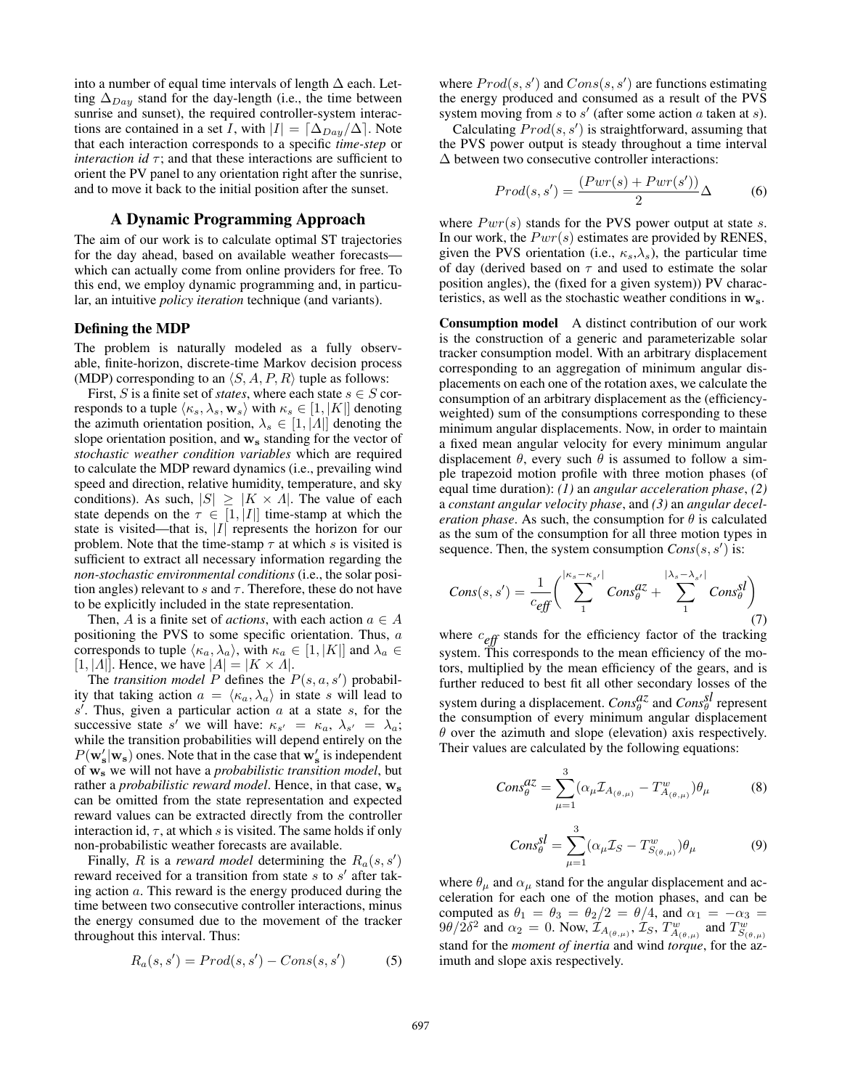into a number of equal time intervals of length  $\Delta$  each. Letting  $\Delta_{Day}$  stand for the day-length (i.e., the time between sunrise and sunset), the required controller-system interactions are contained in a set I, with  $|I| = \lceil \Delta_{Day}/\Delta \rceil$ . Note that each interaction corresponds to a specific *time-step* or *interaction id*  $\tau$ ; and that these interactions are sufficient to orient the PV panel to any orientation right after the sunrise, and to move it back to the initial position after the sunset.

# A Dynamic Programming Approach

The aim of our work is to calculate optimal ST trajectories for the day ahead, based on available weather forecasts which can actually come from online providers for free. To this end, we employ dynamic programming and, in particular, an intuitive *policy iteration* technique (and variants).

#### Defining the MDP

The problem is naturally modeled as a fully observable, finite-horizon, discrete-time Markov decision process (MDP) corresponding to an  $\langle S, A, P, R \rangle$  tuple as follows:

First, S is a finite set of *states*, where each state  $s \in S$  corresponds to a tuple  $\langle \kappa_s, \lambda_s, \mathbf{w}_s \rangle$  with  $\kappa_s \in [1, |K|]$  denoting the azimuth orientation position,  $\lambda_s \in [1, |\Lambda|]$  denoting the slope orientation position, and  $w_s$  standing for the vector of *stochastic weather condition variables* which are required to calculate the MDP reward dynamics (i.e., prevailing wind speed and direction, relative humidity, temperature, and sky conditions). As such,  $|S| \geq |K \times A|$ . The value of each state depends on the  $\tau \in [1, |I|]$  time-stamp at which the state is visited—that is,  $|I|$  represents the horizon for our problem. Note that the time-stamp  $\tau$  at which s is visited is sufficient to extract all necessary information regarding the *non-stochastic environmental conditions* (i.e., the solar position angles) relevant to s and  $\tau$ . Therefore, these do not have to be explicitly included in the state representation.

Then, A is a finite set of *actions*, with each action  $a \in A$ positioning the PVS to some specific orientation. Thus, a corresponds to tuple  $\langle \kappa_a, \lambda_a \rangle$ , with  $\kappa_a \in [1, |K|]$  and  $\lambda_a \in$  $[1, |A|]$ . Hence, we have  $|A| = |K \times A|$ .

The *transition model*  $P$  defines the  $P(s, a, s')$  probability that taking action  $a = \langle \kappa_a, \lambda_a \rangle$  in state s will lead to  $s'$ . Thus, given a particular action  $a$  at a state  $s$ , for the successive state s' we will have:  $\kappa_{s'} = \kappa_a, \lambda_{s'} = \lambda_a;$ while the transition probabilities will depend entirely on the  $P(\mathbf{w'_s}|\mathbf{w_s})$  ones. Note that in the case that  $\mathbf{w'_s}$  is independent of w<sup>s</sup> we will not have a *probabilistic transition model*, but rather a *probabilistic reward model*. Hence, in that case,  $w_s$ can be omitted from the state representation and expected reward values can be extracted directly from the controller interaction id,  $\tau$ , at which s is visited. The same holds if only non-probabilistic weather forecasts are available.

Finally, R is a *reward model* determining the  $R_a(s, s')$ reward received for a transition from state  $s$  to  $s'$  after taking action a. This reward is the energy produced during the time between two consecutive controller interactions, minus the energy consumed due to the movement of the tracker throughout this interval. Thus:

$$
R_a(s, s') = Prod(s, s') - Cons(s, s')
$$
 (5)

where  $Prod(s, s')$  and  $Cons(s, s')$  are functions estimating the energy produced and consumed as a result of the PVS system moving from  $s$  to  $s'$  (after some action  $a$  taken at  $s$ ).

Calculating  $Prod(s, s')$  is straightforward, assuming that the PVS power output is steady throughout a time interval ∆ between two consecutive controller interactions:

$$
Prod(s, s') = \frac{(Pwr(s) + Pwr(s'))}{2} \Delta
$$
 (6)

where  $Pwr(s)$  stands for the PVS power output at state s. In our work, the  $Pwr(s)$  estimates are provided by RENES, given the PVS orientation (i.e.,  $\kappa_s, \lambda_s$ ), the particular time of day (derived based on  $\tau$  and used to estimate the solar position angles), the (fixed for a given system)) PV characteristics, as well as the stochastic weather conditions in  $w_s$ .

Consumption model A distinct contribution of our work is the construction of a generic and parameterizable solar tracker consumption model. With an arbitrary displacement corresponding to an aggregation of minimum angular displacements on each one of the rotation axes, we calculate the consumption of an arbitrary displacement as the (efficiencyweighted) sum of the consumptions corresponding to these minimum angular displacements. Now, in order to maintain a fixed mean angular velocity for every minimum angular displacement  $\theta$ , every such  $\theta$  is assumed to follow a simple trapezoid motion profile with three motion phases (of equal time duration): *(1)* an *angular acceleration phase*, *(2)* a *constant angular velocity phase*, and *(3)* an *angular deceleration phase.* As such, the consumption for  $\theta$  is calculated as the sum of the consumption for all three motion types in sequence. Then, the system consumption  $Cons(s, s')$  is:

$$
Cons(s,s') = \frac{1}{c_{\text{eff}}} \left( \sum_{1}^{|\kappa_s - \kappa_{s'}|} Cons_{\theta}^{dZ} + \sum_{1}^{|\lambda_s - \lambda_{s'}|} Cons_{\theta}^{sl} \right) \tag{7}
$$

where  $c_{\text{eff}}$  stands for the efficiency factor of the tracking system. This corresponds to the mean efficiency of the motors, multiplied by the mean efficiency of the gears, and is further reduced to best fit all other secondary losses of the system during a displacement.  $Cons^{az}_{\theta}$  and  $Cons^{sl}_{\theta}$  represent the consumption of every minimum angular displacement  $\theta$  over the azimuth and slope (elevation) axis respectively. Their values are calculated by the following equations:

$$
Cons_{\theta}^{a\mathcal{I}} = \sum_{\mu=1}^{3} (\alpha_{\mu} \mathcal{I}_{A_{(\theta,\mu)}} - T_{A_{(\theta,\mu)}}^{w}) \theta_{\mu}
$$
(8)

$$
Cons_{\theta}^{SI} = \sum_{\mu=1}^{3} (\alpha_{\mu} \mathcal{I}_S - T^w_{S_{(\theta,\mu)}}) \theta_{\mu}
$$
 (9)

where  $\theta_{\mu}$  and  $\alpha_{\mu}$  stand for the angular displacement and acceleration for each one of the motion phases, and can be computed as  $\theta_1 = \theta_3 = \theta_2/2 = \theta/4$ , and  $\alpha_1 = -\alpha_3 =$ 9θ/2δ<sup>2</sup> and  $\alpha_2 = 0$ . Now,  $\dot{\mathcal{I}}_{A_{(\theta,\mu)}}, \dot{\mathcal{I}}_S, T^w_{A_{(\theta,\mu)}}$  and  $T^w_{S_{(\theta,\mu)}}$ stand for the *moment of inertia* and wind *torque*, for the azimuth and slope axis respectively.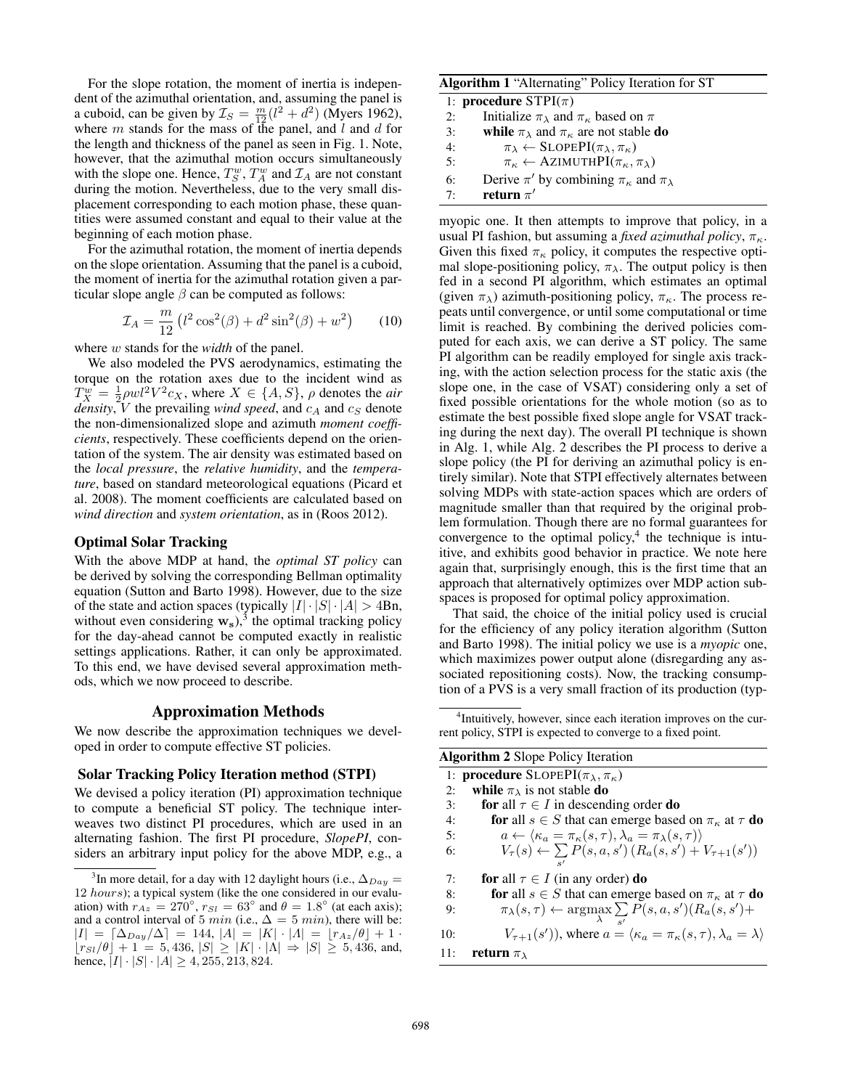For the slope rotation, the moment of inertia is independent of the azimuthal orientation, and, assuming the panel is a cuboid, can be given by  $\mathcal{I}_S = \frac{m}{12}(l^2 + d^2)$  (Myers 1962), where  $m$  stands for the mass of the panel, and  $l$  and  $d$  for the length and thickness of the panel as seen in Fig. 1. Note, however, that the azimuthal motion occurs simultaneously with the slope one. Hence,  $T_S^w$ ,  $T_A^w$  and  $\mathcal{I}_A$  are not constant during the motion. Nevertheless, due to the very small displacement corresponding to each motion phase, these quantities were assumed constant and equal to their value at the beginning of each motion phase.

For the azimuthal rotation, the moment of inertia depends on the slope orientation. Assuming that the panel is a cuboid, the moment of inertia for the azimuthal rotation given a particular slope angle  $\beta$  can be computed as follows:

$$
\mathcal{I}_A = \frac{m}{12} \left( l^2 \cos^2(\beta) + d^2 \sin^2(\beta) + w^2 \right) \tag{10}
$$

where w stands for the *width* of the panel.

We also modeled the PVS aerodynamics, estimating the torque on the rotation axes due to the incident wind as  $T_X^w = \frac{1}{2}\rho w l^2 V^2 c_X$ , where  $X \in \{A, S\}$ ,  $\rho$  denotes the *air density*,  $V$  the prevailing *wind speed*, and  $c_A$  and  $c_S$  denote the non-dimensionalized slope and azimuth *moment coefficients*, respectively. These coefficients depend on the orientation of the system. The air density was estimated based on the *local pressure*, the *relative humidity*, and the *temperature*, based on standard meteorological equations (Picard et al. 2008). The moment coefficients are calculated based on *wind direction* and *system orientation*, as in (Roos 2012).

# Optimal Solar Tracking

With the above MDP at hand, the *optimal ST policy* can be derived by solving the corresponding Bellman optimality equation (Sutton and Barto 1998). However, due to the size of the state and action spaces (typically  $|I| \cdot |S| \cdot |A| > 4Bn$ , without even considering  $w_s$ ),<sup>3</sup> the optimal tracking policy for the day-ahead cannot be computed exactly in realistic settings applications. Rather, it can only be approximated. To this end, we have devised several approximation methods, which we now proceed to describe.

# Approximation Methods

We now describe the approximation techniques we developed in order to compute effective ST policies.

#### Solar Tracking Policy Iteration method (STPI)

We devised a policy iteration (PI) approximation technique to compute a beneficial ST policy. The technique interweaves two distinct PI procedures, which are used in an alternating fashion. The first PI procedure, *SlopePI*, considers an arbitrary input policy for the above MDP, e.g., a

#### Algorithm 1 "Alternating" Policy Iteration for ST

|    | 1: <b>procedure</b> $STPI(\pi)$                                     |
|----|---------------------------------------------------------------------|
| 2: | Initialize $\pi_{\lambda}$ and $\pi_{\kappa}$ based on $\pi$        |
| 3: | while $\pi_{\lambda}$ and $\pi_{\kappa}$ are not stable <b>do</b>   |
| 4: | $\pi_{\lambda} \leftarrow$ SLOPEPI $(\pi_{\lambda}, \pi_{\kappa})$  |
| 5: | $\pi_{\kappa} \leftarrow$ AZIMUTHPI $(\pi_{\kappa}, \pi_{\lambda})$ |
| 6: | Derive $\pi'$ by combining $\pi_{\kappa}$ and $\pi_{\lambda}$       |
| 7. | return $\pi'$                                                       |

myopic one. It then attempts to improve that policy, in a usual PI fashion, but assuming a *fixed azimuthal policy*,  $\pi_{\kappa}$ . Given this fixed  $\pi_{\kappa}$  policy, it computes the respective optimal slope-positioning policy,  $\pi_{\lambda}$ . The output policy is then fed in a second PI algorithm, which estimates an optimal (given  $\pi_{\lambda}$ ) azimuth-positioning policy,  $\pi_{\kappa}$ . The process repeats until convergence, or until some computational or time limit is reached. By combining the derived policies computed for each axis, we can derive a ST policy. The same PI algorithm can be readily employed for single axis tracking, with the action selection process for the static axis (the slope one, in the case of VSAT) considering only a set of fixed possible orientations for the whole motion (so as to estimate the best possible fixed slope angle for VSAT tracking during the next day). The overall PI technique is shown in Alg. 1, while Alg. 2 describes the PI process to derive a slope policy (the PI for deriving an azimuthal policy is entirely similar). Note that STPI effectively alternates between solving MDPs with state-action spaces which are orders of magnitude smaller than that required by the original problem formulation. Though there are no formal guarantees for convergence to the optimal policy, $4$  the technique is intuitive, and exhibits good behavior in practice. We note here again that, surprisingly enough, this is the first time that an approach that alternatively optimizes over MDP action subspaces is proposed for optimal policy approximation.

That said, the choice of the initial policy used is crucial for the efficiency of any policy iteration algorithm (Sutton and Barto 1998). The initial policy we use is a *myopic* one, which maximizes power output alone (disregarding any associated repositioning costs). Now, the tracking consumption of a PVS is a very small fraction of its production (typ-

<sup>4</sup> Intuitively, however, since each iteration improves on the current policy, STPI is expected to converge to a fixed point.

| <b>Algorithm 2</b> Slope Policy Iteration |                                                                                                                 |  |  |  |  |  |
|-------------------------------------------|-----------------------------------------------------------------------------------------------------------------|--|--|--|--|--|
|                                           | 1: <b>procedure</b> SLOPEPI( $\pi_{\lambda}, \pi_{\kappa}$ )                                                    |  |  |  |  |  |
| 2:                                        | while $\pi_{\lambda}$ is not stable do                                                                          |  |  |  |  |  |
| $\overline{3}$ :                          | for all $\tau \in I$ in descending order <b>do</b>                                                              |  |  |  |  |  |
| 4:                                        | for all $s \in S$ that can emerge based on $\pi_{\kappa}$ at $\tau$ do                                          |  |  |  |  |  |
| 5:                                        | $a \leftarrow \langle \kappa_a = \pi_{\kappa}(s, \tau), \lambda_a = \pi_{\lambda}(s, \tau) \rangle$             |  |  |  |  |  |
| 6:                                        | $V_{\tau}(s) \leftarrow \sum P(s, a, s') (R_a(s, s') + V_{\tau+1}(s'))$                                         |  |  |  |  |  |
|                                           |                                                                                                                 |  |  |  |  |  |
| 7:                                        | <b>for</b> all $\tau \in I$ (in any order) <b>do</b>                                                            |  |  |  |  |  |
| 8:                                        | <b>for</b> all $s \in S$ that can emerge based on $\pi_{\kappa}$ at $\tau$ <b>do</b>                            |  |  |  |  |  |
| 9:                                        | $\pi_{\lambda}(s,\tau) \leftarrow \operatorname*{argmax}_{\lambda} \sum_{s'} \overline{P}(s,a,s') (R_a(s,s') +$ |  |  |  |  |  |
| 10:                                       | $V_{\tau+1}(s')$ , where $a = \langle \kappa_a = \pi_{\kappa}(s, \tau), \lambda_a = \lambda \rangle$            |  |  |  |  |  |
| 11:                                       | return $\pi_{\lambda}$                                                                                          |  |  |  |  |  |
|                                           |                                                                                                                 |  |  |  |  |  |

<sup>&</sup>lt;sup>3</sup>In more detail, for a day with 12 daylight hours (i.e.,  $\Delta_{Day}$  = 12 hours); a typical system (like the one considered in our evaluation) with  $r_{Az} = 270^{\circ}$ ,  $r_{SI} = 63^{\circ}$  and  $\theta = 1.8^{\circ}$  (at each axis); and a control interval of 5 min (i.e.,  $\Delta = 5$  min), there will be:  $|I| = [\Delta_{Day}/\Delta] = 144, |A| = |K| \cdot |A| = |r_{Az}/\theta| + 1$  $\lfloor rs_l/\theta \rfloor + 1 = 5,436, |S| \ge |K| \cdot |\Lambda| \Rightarrow |S| \ge 5,436, \text{ and,}$ hence,  $|I| \cdot |S| \cdot |A| \ge 4, 255, 213, 824.$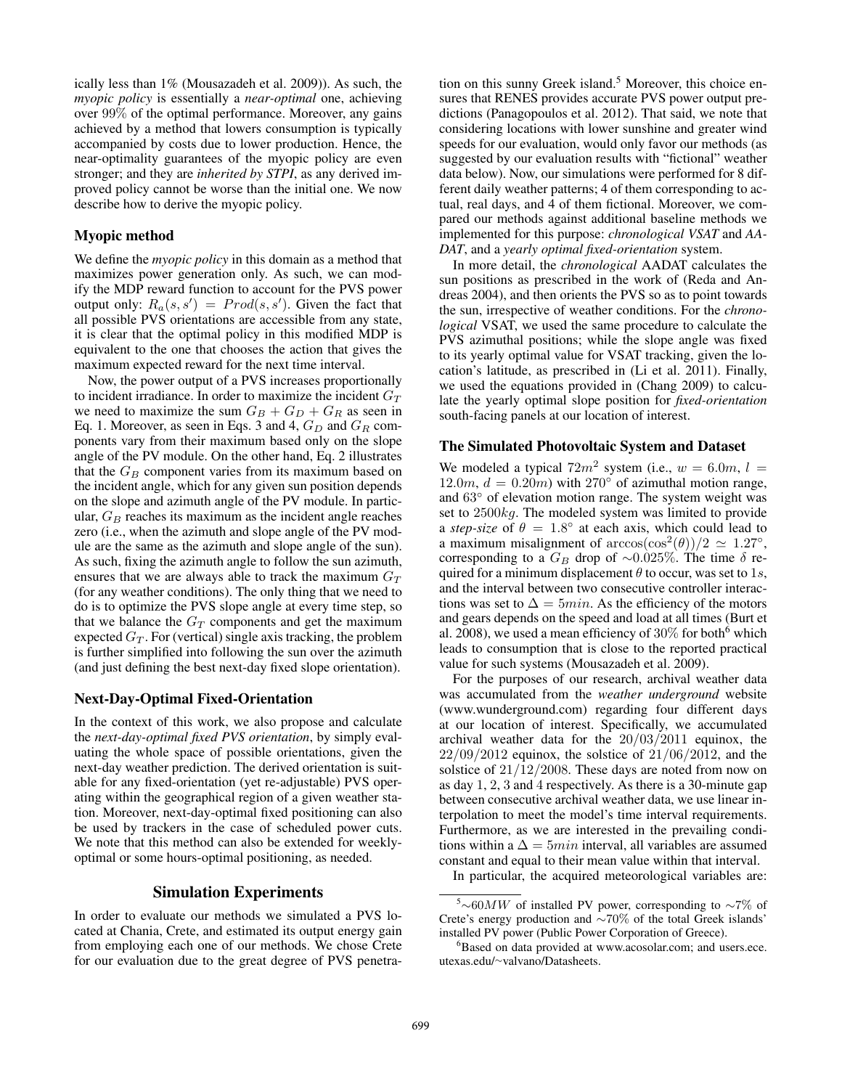ically less than 1% (Mousazadeh et al. 2009)). As such, the *myopic policy* is essentially a *near-optimal* one, achieving over 99% of the optimal performance. Moreover, any gains achieved by a method that lowers consumption is typically accompanied by costs due to lower production. Hence, the near-optimality guarantees of the myopic policy are even stronger; and they are *inherited by STPI*, as any derived improved policy cannot be worse than the initial one. We now describe how to derive the myopic policy.

### Myopic method

We define the *myopic policy* in this domain as a method that maximizes power generation only. As such, we can modify the MDP reward function to account for the PVS power output only:  $R_a(s, s') = \text{Prod}(s, s')$ . Given the fact that all possible PVS orientations are accessible from any state, it is clear that the optimal policy in this modified MDP is equivalent to the one that chooses the action that gives the maximum expected reward for the next time interval.

Now, the power output of a PVS increases proportionally to incident irradiance. In order to maximize the incident  $G_T$ we need to maximize the sum  $G_B + G_D + G_R$  as seen in Eq. 1. Moreover, as seen in Eqs. 3 and 4,  $G_D$  and  $G_R$  components vary from their maximum based only on the slope angle of the PV module. On the other hand, Eq. 2 illustrates that the  $G_B$  component varies from its maximum based on the incident angle, which for any given sun position depends on the slope and azimuth angle of the PV module. In particular,  $G_B$  reaches its maximum as the incident angle reaches zero (i.e., when the azimuth and slope angle of the PV module are the same as the azimuth and slope angle of the sun). As such, fixing the azimuth angle to follow the sun azimuth, ensures that we are always able to track the maximum  $G_T$ (for any weather conditions). The only thing that we need to do is to optimize the PVS slope angle at every time step, so that we balance the  $G_T$  components and get the maximum expected  $G_T$ . For (vertical) single axis tracking, the problem is further simplified into following the sun over the azimuth (and just defining the best next-day fixed slope orientation).

#### Next-Day-Optimal Fixed-Orientation

In the context of this work, we also propose and calculate the *next-day-optimal fixed PVS orientation*, by simply evaluating the whole space of possible orientations, given the next-day weather prediction. The derived orientation is suitable for any fixed-orientation (yet re-adjustable) PVS operating within the geographical region of a given weather station. Moreover, next-day-optimal fixed positioning can also be used by trackers in the case of scheduled power cuts. We note that this method can also be extended for weeklyoptimal or some hours-optimal positioning, as needed.

# Simulation Experiments

In order to evaluate our methods we simulated a PVS located at Chania, Crete, and estimated its output energy gain from employing each one of our methods. We chose Crete for our evaluation due to the great degree of PVS penetration on this sunny Greek island.<sup>5</sup> Moreover, this choice ensures that RENES provides accurate PVS power output predictions (Panagopoulos et al. 2012). That said, we note that considering locations with lower sunshine and greater wind speeds for our evaluation, would only favor our methods (as suggested by our evaluation results with "fictional" weather data below). Now, our simulations were performed for 8 different daily weather patterns; 4 of them corresponding to actual, real days, and 4 of them fictional. Moreover, we compared our methods against additional baseline methods we implemented for this purpose: *chronological VSAT* and *AA-DAT*, and a *yearly optimal fixed-orientation* system.

In more detail, the *chronological* AADAT calculates the sun positions as prescribed in the work of (Reda and Andreas 2004), and then orients the PVS so as to point towards the sun, irrespective of weather conditions. For the *chronological* VSAT, we used the same procedure to calculate the PVS azimuthal positions; while the slope angle was fixed to its yearly optimal value for VSAT tracking, given the location's latitude, as prescribed in (Li et al. 2011). Finally, we used the equations provided in (Chang 2009) to calculate the yearly optimal slope position for *fixed-orientation* south-facing panels at our location of interest.

## The Simulated Photovoltaic System and Dataset

We modeled a typical  $72m^2$  system (i.e.,  $w = 6.0m$ ,  $l =$ 12.0m,  $d = 0.20m$ ) with 270 $\degree$  of azimuthal motion range, and 63◦ of elevation motion range. The system weight was set to 2500kg. The modeled system was limited to provide a *step-size* of  $\theta = 1.8^{\circ}$  at each axis, which could lead to a maximum misalignment of  $arccos(cos^2(\theta))/2 \approx 1.27°$ , corresponding to a  $G_B$  drop of ~0.025%. The time  $\delta$  required for a minimum displacement  $\theta$  to occur, was set to 1s, and the interval between two consecutive controller interactions was set to  $\Delta = 5min$ . As the efficiency of the motors and gears depends on the speed and load at all times (Burt et al. 2008), we used a mean efficiency of  $30\%$  for both<sup>6</sup> which leads to consumption that is close to the reported practical value for such systems (Mousazadeh et al. 2009).

For the purposes of our research, archival weather data was accumulated from the *weather underground* website (www.wunderground.com) regarding four different days at our location of interest. Specifically, we accumulated archival weather data for the  $20/03/2011$  equinox, the  $22/09/2012$  equinox, the solstice of  $21/06/2012$ , and the solstice of 21/12/2008. These days are noted from now on as day 1, 2, 3 and 4 respectively. As there is a 30-minute gap between consecutive archival weather data, we use linear interpolation to meet the model's time interval requirements. Furthermore, as we are interested in the prevailing conditions within a  $\Delta = 5min$  interval, all variables are assumed constant and equal to their mean value within that interval.

In particular, the acquired meteorological variables are:

<sup>&</sup>lt;sup>5</sup>∼60*MW* of installed PV power, corresponding to ~7% of Crete's energy production and ∼70% of the total Greek islands' installed PV power (Public Power Corporation of Greece).

<sup>&</sup>lt;sup>6</sup>Based on data provided at www.acosolar.com; and users.ece. utexas.edu/∼valvano/Datasheets.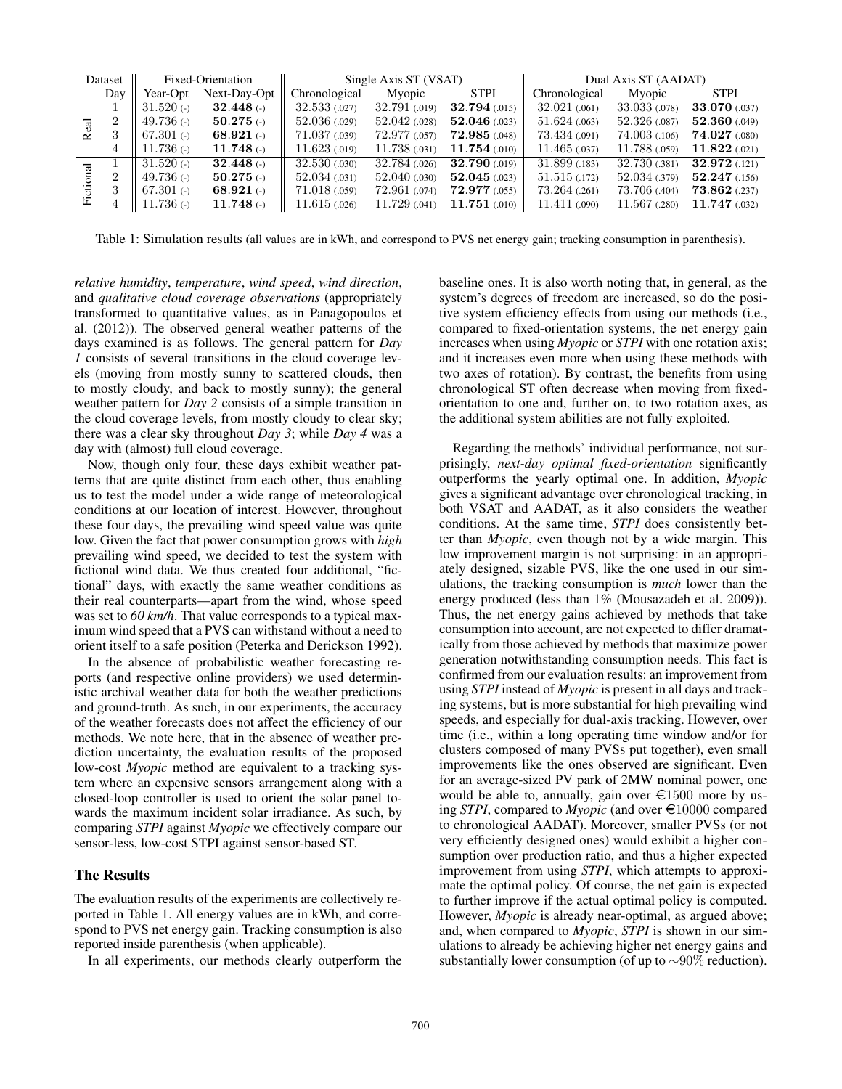| Dataset |                | Fixed-Orientation        |                  | Single Axis ST (VSAT) |               |               | Dual Axis ST (AADAT) |               |                 |
|---------|----------------|--------------------------|------------------|-----------------------|---------------|---------------|----------------------|---------------|-----------------|
|         | Day            | Year-Opt                 | Next-Day-Opt     | Chronological         | Myopic        | <b>STPI</b>   | Chronological        | Myopic        | <b>STPI</b>     |
| Re      |                | $31.520$ (-)             | $32.448$ (-)     | 32.533 (.027)         | 32.791 (.019) | 32.794 (.015) | 32.021(0.061)        | 33.033 (.078) | 33.070 (.037)   |
|         | $\overline{2}$ | 49.736 $($ - $)$         | $50.275$ (-)     | 52.036(0.029)         | 52.042(0.028) | 52.046(0.023) | 51.624(0.063)        | 52.326(0.087) | 52.360(0.049)   |
|         | 3              | 67.301 $\left($ -)       | 68.921 $($ - $)$ | 71.037(0.039)         | 72.977 (.057) | 72.985(0.048) | 73.434 (.091)        | 74.003 (.106) | 74.027(080)     |
|         | 4              | 11.736 $($ - $)$         | $11.748$ (-)     | 11.623(0.019)         | 11.738 (.031) | 11.754(0.010) | 11.465(0.037)        | 11.788 (.059) | 11.822(021)     |
| 讧       |                | $31.520$ (-)             | $32.448$ (-)     | 32.530(0.030)         | 32.784 (.026) | 32.790 (.019) | 31.899(0.183)        | 32.730(0.381) | 32.972 (.121)   |
|         | $\overline{2}$ | 49.736 $\leftrightarrow$ | $50.275$ (-)     | 52.034(0.031)         | 52.040(0.030) | 52.045(0.023) | 51.515(0.172)        | 52.034 (.379) | 52.247(0.156)   |
|         | 3              | 67.301 $\left($ -)       | 68.921 $($ - $)$ | 71.018(0.059)         | 72.961 (.074) | 72.977(0.055) | 73.264(0.261)        | 73.706 (.404) | $73.862$ (.237) |
|         |                | $11.736$ (-)             | $11.748$ (-)     | 11.615(0.026)         | 11.729 (.041) | 11.751 (.010) | 11.411 (.090)        | 11.567 (.280) | 11.747 (.032)   |

Table 1: Simulation results (all values are in kWh, and correspond to PVS net energy gain; tracking consumption in parenthesis).

*relative humidity*, *temperature*, *wind speed*, *wind direction*, and *qualitative cloud coverage observations* (appropriately transformed to quantitative values, as in Panagopoulos et al. (2012)). The observed general weather patterns of the days examined is as follows. The general pattern for *Day 1* consists of several transitions in the cloud coverage levels (moving from mostly sunny to scattered clouds, then to mostly cloudy, and back to mostly sunny); the general weather pattern for *Day 2* consists of a simple transition in the cloud coverage levels, from mostly cloudy to clear sky; there was a clear sky throughout *Day 3*; while *Day 4* was a day with (almost) full cloud coverage.

Now, though only four, these days exhibit weather patterns that are quite distinct from each other, thus enabling us to test the model under a wide range of meteorological conditions at our location of interest. However, throughout these four days, the prevailing wind speed value was quite low. Given the fact that power consumption grows with *high* prevailing wind speed, we decided to test the system with fictional wind data. We thus created four additional, "fictional" days, with exactly the same weather conditions as their real counterparts—apart from the wind, whose speed was set to 60 km/h. That value corresponds to a typical maximum wind speed that a PVS can withstand without a need to orient itself to a safe position (Peterka and Derickson 1992).

In the absence of probabilistic weather forecasting reports (and respective online providers) we used deterministic archival weather data for both the weather predictions and ground-truth. As such, in our experiments, the accuracy of the weather forecasts does not affect the efficiency of our methods. We note here, that in the absence of weather prediction uncertainty, the evaluation results of the proposed low-cost *Myopic* method are equivalent to a tracking system where an expensive sensors arrangement along with a closed-loop controller is used to orient the solar panel towards the maximum incident solar irradiance. As such, by comparing *STPI* against *Myopic* we effectively compare our sensor-less, low-cost STPI against sensor-based ST.

# The Results

The evaluation results of the experiments are collectively reported in Table 1. All energy values are in kWh, and correspond to PVS net energy gain. Tracking consumption is also reported inside parenthesis (when applicable).

In all experiments, our methods clearly outperform the

baseline ones. It is also worth noting that, in general, as the system's degrees of freedom are increased, so do the positive system efficiency effects from using our methods (i.e., compared to fixed-orientation systems, the net energy gain increases when using *Myopic* or *STPI* with one rotation axis; and it increases even more when using these methods with two axes of rotation). By contrast, the benefits from using chronological ST often decrease when moving from fixedorientation to one and, further on, to two rotation axes, as the additional system abilities are not fully exploited.

Regarding the methods' individual performance, not surprisingly, *next-day optimal fixed-orientation* significantly outperforms the yearly optimal one. In addition, *Myopic* gives a significant advantage over chronological tracking, in both VSAT and AADAT, as it also considers the weather conditions. At the same time, *STPI* does consistently better than *Myopic*, even though not by a wide margin. This low improvement margin is not surprising: in an appropriately designed, sizable PVS, like the one used in our simulations, the tracking consumption is *much* lower than the energy produced (less than 1% (Mousazadeh et al. 2009)). Thus, the net energy gains achieved by methods that take consumption into account, are not expected to differ dramatically from those achieved by methods that maximize power generation notwithstanding consumption needs. This fact is confirmed from our evaluation results: an improvement from using *STPI* instead of *Myopic* is present in all days and tracking systems, but is more substantial for high prevailing wind speeds, and especially for dual-axis tracking. However, over time (i.e., within a long operating time window and/or for clusters composed of many PVSs put together), even small improvements like the ones observed are significant. Even for an average-sized PV park of 2MW nominal power, one would be able to, annually, gain over  $\epsilon$ 1500 more by using *STPI*, compared to  $Myopic$  (and over  $\epsilon$ 10000 compared to chronological AADAT). Moreover, smaller PVSs (or not very efficiently designed ones) would exhibit a higher consumption over production ratio, and thus a higher expected improvement from using *STPI*, which attempts to approximate the optimal policy. Of course, the net gain is expected to further improve if the actual optimal policy is computed. However, *Myopic* is already near-optimal, as argued above; and, when compared to *Myopic*, *STPI* is shown in our simulations to already be achieving higher net energy gains and substantially lower consumption (of up to  $\sim 90\%$  reduction).